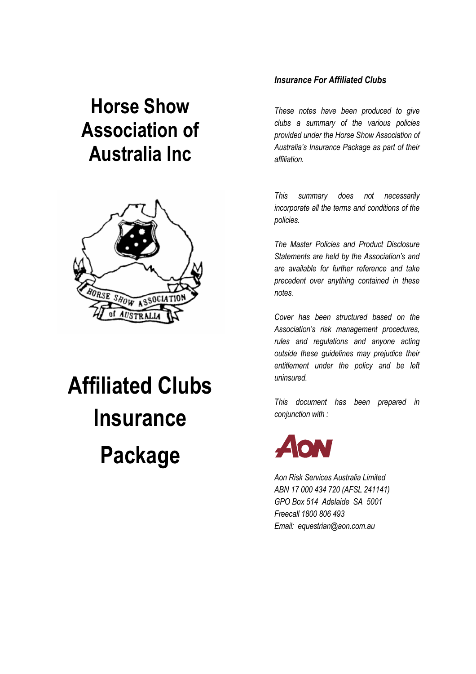## **Horse Show Association of Australia Inc**



# **Affiliated Clubs Insurance Package**

### *Insurance For Affiliated Clubs*

*These notes have been produced to give clubs a summary of the various policies provided under the Horse Show Association of Australia's Insurance Package as part of their affiliation.* 

*This summary does not necessarily incorporate all the terms and conditions of the policies.* 

*The Master Policies and Product Disclosure Statements are held by the Association's and are available for further reference and take precedent over anything contained in these notes.* 

*Cover has been structured based on the Association's risk management procedures, rules and regulations and anyone acting outside these guidelines may prejudice their entitlement under the policy and be left uninsured.* 

*This document has been prepared in conjunction with :* 



*Aon Risk Services Australia Limited ABN 17 000 434 720 (AFSL 241141) GPO Box 514 Adelaide SA 5001 Freecall 1800 806 493 Email: equestrian@aon.com.au*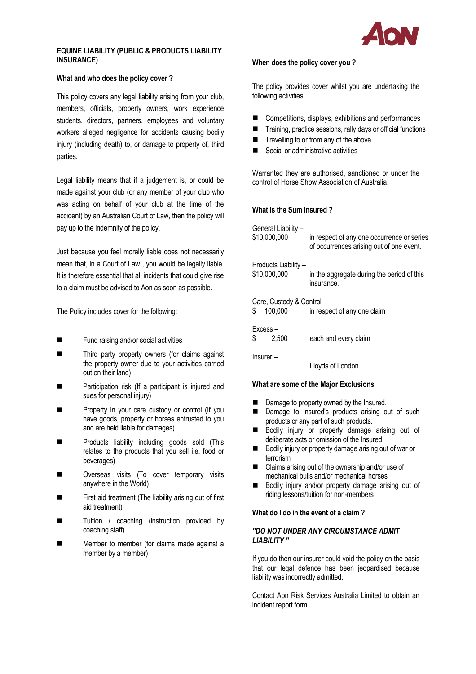

### **EQUINE LIABILITY (PUBLIC & PRODUCTS LIABILITY INSURANCE)**

### **What and who does the policy cover ?**

This policy covers any legal liability arising from your club, members, officials, property owners, work experience students, directors, partners, employees and voluntary workers alleged negligence for accidents causing bodily injury (including death) to, or damage to property of, third parties.

Legal liability means that if a judgement is, or could be made against your club (or any member of your club who was acting on behalf of your club at the time of the accident) by an Australian Court of Law, then the policy will pay up to the indemnity of the policy.

Just because you feel morally liable does not necessarily mean that, in a Court of Law , you would be legally liable. It is therefore essential that all incidents that could give rise to a claim must be advised to Aon as soon as possible.

The Policy includes cover for the following:

- Fund raising and/or social activities
- Third party property owners (for claims against the property owner due to your activities carried out on their land)
- Participation risk (If a participant is injured and sues for personal injury)
- Property in your care custody or control (If you have goods, property or horses entrusted to you and are held liable for damages)
- Products liability including goods sold (This relates to the products that you sell i.e. food or beverages)
- Overseas visits (To cover temporary visits anywhere in the World)
- First aid treatment (The liability arising out of first aid treatment)
- Tuition / coaching (instruction provided by coaching staff)
- Member to member (for claims made against a member by a member)

### **When does the policy cover you ?**

The policy provides cover whilst you are undertaking the following activities.

- Competitions, displays, exhibitions and performances
- Training, practice sessions, rally days or official functions
- Travelling to or from any of the above
- Social or administrative activities

Warranted they are authorised, sanctioned or under the control of Horse Show Association of Australia.

### **What is the Sum Insured ?**

General Liability –

| What are some of the Major Exclusions     |                                                                                        |  |  |
|-------------------------------------------|----------------------------------------------------------------------------------------|--|--|
|                                           | Lloyds of London                                                                       |  |  |
| $Insurer -$                               |                                                                                        |  |  |
| Excess-<br>\$<br>2.500                    | each and every claim                                                                   |  |  |
| Care, Custody & Control-<br>\$<br>100,000 | in respect of any one claim                                                            |  |  |
| Products Liability -<br>\$10,000,000      | in the aggregate during the period of this<br>insurance.                               |  |  |
| \$10,000,000                              | in respect of any one occurrence or series<br>of occurrences arising out of one event. |  |  |

- Damage to property owned by the Insured.
- Damage to Insured's products arising out of such products or any part of such products.
- Bodily injury or property damage arising out of deliberate acts or omission of the Insured
- Bodily injury or property damage arising out of war or terrorism
- Claims arising out of the ownership and/or use of mechanical bulls and/or mechanical horses
- Bodily injury and/or property damage arising out of riding lessons/tuition for non-members

### **What do I do in the event of a claim ?**

### *"DO NOT UNDER ANY CIRCUMSTANCE ADMIT LIABILITY "*

If you do then our insurer could void the policy on the basis that our legal defence has been jeopardised because liability was incorrectly admitted.

Contact Aon Risk Services Australia Limited to obtain an incident report form.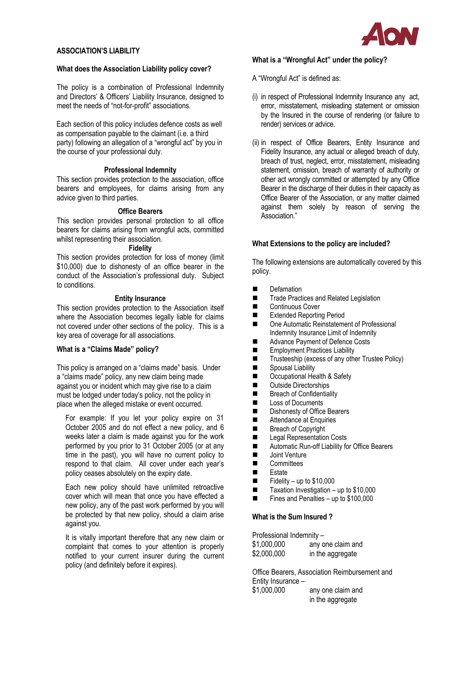

### **ASSOCIATION'S LIABILITY**

### **What does the Association Liability policy cover?**

The policy is a combination of Professional Indemnity and Directors' & Officers' Liability Insurance, designed to meet the needs of "not-for-profit" associations.

Each section of this policy includes defence costs as well as compensation payable to the claimant (i.e. a third party) following an allegation of a "wrongful act" by you in the course of your professional duty.

### **Professional Indemnity**

This section provides protection to the association, office bearers and employees, for claims arising from any advice given to third parties.

### **Office Bearers**

This section provides personal protection to all office bearers for claims arising from wrongful acts, committed whilst representing their association.

### **Fidelity**

This section provides protection for loss of money (limit \$10,000) due to dishonesty of an office bearer in the conduct of the Association's professional duty. Subject to conditions.

### **Entity Insurance**

This section provides protection to the Association itself where the Association becomes legally liable for claims not covered under other sections of the policy. This is a key area of coverage for all associations.

### **What is a "Claims Made" policy?**

This policy is arranged on a "claims made" basis. Under a "claims made" policy, any new claim being made against you or incident which may give rise to a claim must be lodged under today's policy, not the policy in place when the alleged mistake or event occurred.

 For example: If you let your policy expire on 31 October 2005 and do not effect a new policy, and 6 weeks later a claim is made against you for the work performed by you prior to 31 October 2005 (or at any time in the past), you will have no current policy to respond to that claim. All cover under each year's policy ceases absolutely on the expiry date.

 Each new policy should have unlimited retroactive cover which will mean that once you have effected a new policy, any of the past work performed by you will be protected by that new policy, should a claim arise against you.

 It is vitally important therefore that any new claim or complaint that comes to your attention is properly notified to your current insurer during the current policy (and definitely before it expires).

### **What is a "Wrongful Act" under the policy?**

- A "Wrongful Act" is defined as:
- (i) in respect of Professional Indemnity Insurance any act, error, misstatement, misleading statement or omission by the Insured in the course of rendering (or failure to render) services or advice.
- (ii) in respect of Office Bearers, Entity Insurance and Fidelity Insurance, any actual or alleged breach of duty, breach of trust, neglect, error, misstatement, misleading statement, omission, breach of warranty of authority or other act wrongly committed or attempted by any Office Bearer in the discharge of their duties in their capacity as Office Bearer of the Association, or any matter claimed against them solely by reason of serving the Association."

### **What Extensions to the policy are included?**

The following extensions are automatically covered by this policy.

- **Defamation**
- **Trade Practices and Related Legislation**
- **Exercise Continuous Cover**
- Extended Reporting Period
- One Automatic Reinstatement of Professional Indemnity Insurance Limit of Indemnity
- Advance Payment of Defence Costs
- **Employment Practices Liability**
- Trusteeship (excess of any other Trustee Policy)<br>■ Spousal Liability
- Spousal Liability
- Occupational Health & Safety<br>■ Outside Directorshins
- Outside Directorships
- Breach of Confidentiality
- **Loss of Documents**
- Dishonesty of Office Bearers
- Attendance at Enquiries
- Breach of Copyright<br>■ Legal Representation
- Legal Representation Costs<br>■ Automatic Run-off Liability fo
- Automatic Run-off Liability for Office Bearers<br>■ Joint Venture
- **Deal** Joint Venture<br> **Committees**
- **Committees**
- **Estate**
- $\blacksquare$  Fidelity up to \$10,000
- Taxation Investigation up to \$10,000
- Fines and Penalties up to \$100,000

### **What is the Sum Insured ?**

Professional Indemnity –

| \$1,000,000 | any one claim and |
|-------------|-------------------|
| \$2,000,000 | in the aggregate  |

Office Bearers, Association Reimbursement and Entity Insurance – \$1,000,000 any one claim and in the aggregate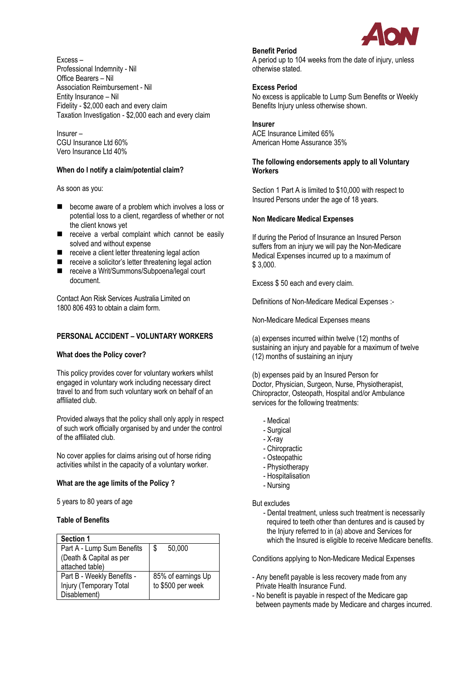

Excess – Professional Indemnity - Nil Office Bearers – Nil Association Reimbursement - Nil Entity Insurance – Nil Fidelity - \$2,000 each and every claim Taxation Investigation - \$2,000 each and every claim

Insurer – CGU Insurance Ltd 60% Vero Insurance Ltd 40%

### **When do I notify a claim/potential claim?**

As soon as you:

- **EXECOME** become aware of a problem which involves a loss or potential loss to a client, regardless of whether or not the client knows yet
- receive a verbal complaint which cannot be easily solved and without expense
- receive a client letter threatening legal action
- receive a solicitor's letter threatening legal action
- receive a Writ/Summons/Subpoena/legal court document.

Contact Aon Risk Services Australia Limited on 1800 806 493 to obtain a claim form.

### **PERSONAL ACCIDENT – VOLUNTARY WORKERS**

### **What does the Policy cover?**

This policy provides cover for voluntary workers whilst engaged in voluntary work including necessary direct travel to and from such voluntary work on behalf of an affiliated club.

Provided always that the policy shall only apply in respect of such work officially organised by and under the control of the affiliated club.

No cover applies for claims arising out of horse riding activities whilst in the capacity of a voluntary worker.

### **What are the age limits of the Policy ?**

5 years to 80 years of age

### **Table of Benefits**

| <b>Section 1</b>           |                    |
|----------------------------|--------------------|
| Part A - Lump Sum Benefits | 50,000<br>S        |
| (Death & Capital as per    |                    |
| attached table)            |                    |
| Part B - Weekly Benefits - | 85% of earnings Up |
| Injury (Temporary Total    | to \$500 per week  |
| Disablement)               |                    |

### **Benefit Period**

A period up to 104 weeks from the date of injury, unless otherwise stated.

### **Excess Period**

No excess is applicable to Lump Sum Benefits or Weekly Benefits Injury unless otherwise shown.

### **Insurer**

ACE Insurance Limited 65% American Home Assurance 35%

### **The following endorsements apply to all Voluntary Workers**

Section 1 Part A is limited to \$10,000 with respect to Insured Persons under the age of 18 years.

### **Non Medicare Medical Expenses**

If during the Period of Insurance an Insured Person suffers from an injury we will pay the Non-Medicare Medical Expenses incurred up to a maximum of \$ 3,000.

Excess \$ 50 each and every claim.

Definitions of Non-Medicare Medical Expenses :-

Non-Medicare Medical Expenses means

(a) expenses incurred within twelve (12) months of sustaining an injury and payable for a maximum of twelve (12) months of sustaining an injury

(b) expenses paid by an Insured Person for Doctor, Physician, Surgeon, Nurse, Physiotherapist, Chiropractor, Osteopath, Hospital and/or Ambulance services for the following treatments:

- Medical
- Surgical
- X-ray
- Chiropractic
- Osteopathic
- Physiotherapy
- Hospitalisation
- Nursing

But excludes

 - Dental treatment, unless such treatment is necessarily required to teeth other than dentures and is caused by the Injury referred to in (a) above and Services for which the Insured is eligible to receive Medicare benefits.

Conditions applying to Non-Medicare Medical Expenses

- Any benefit payable is less recovery made from any Private Health Insurance Fund.
- No benefit is payable in respect of the Medicare gap between payments made by Medicare and charges incurred.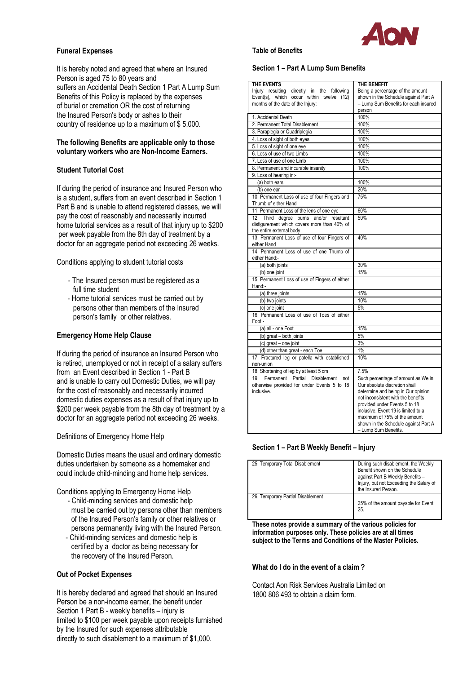### **Funeral Expenses**

It is hereby noted and agreed that where an Insured Person is aged 75 to 80 years and suffers an Accidental Death Section 1 Part A Lump Sum Benefits of this Policy is replaced by the expenses of burial or cremation OR the cost of returning the Insured Person's body or ashes to their country of residence up to a maximum of \$ 5,000.

### **The following Benefits are applicable only to those voluntary workers who are Non-Income Earners.**

### **Student Tutorial Cost**

If during the period of insurance and Insured Person who is a student, suffers from an event described in Section 1 Part B and is unable to attend registered classes, we will pay the cost of reasonably and necessarily incurred home tutorial services as a result of that injury up to \$200 per week payable from the 8th day of treatment by a doctor for an aggregate period not exceeding 26 weeks.

Conditions applying to student tutorial costs

- The Insured person must be registered as a full time student
- Home tutorial services must be carried out by persons other than members of the Insured person's family or other relatives.

### **Emergency Home Help Clause**

If during the period of insurance an Insured Person who is retired, unemployed or not in receipt of a salary suffers from an Event described in Section 1 - Part B and is unable to carry out Domestic Duties, we will pay for the cost of reasonably and necessarily incurred domestic duties expenses as a result of that injury up to \$200 per week payable from the 8th day of treatment by a doctor for an aggregate period not exceeding 26 weeks.

Definitions of Emergency Home Help

Domestic Duties means the usual and ordinary domestic duties undertaken by someone as a homemaker and could include child-minding and home help services.

Conditions applying to Emergency Home Help

- Child-minding services and domestic help must be carried out by persons other than members of the Insured Person's family or other relatives or persons permanently living with the Insured Person.
- Child-minding services and domestic help is certified by a doctor as being necessary for the recovery of the Insured Person.

### **Out of Pocket Expenses**

It is hereby declared and agreed that should an Insured Person be a non-income earner, the benefit under Section 1 Part B - weekly benefits – injury is limited to \$100 per week payable upon receipts furnished by the Insured for such expenses attributable directly to such disablement to a maximum of \$1,000.

### **Table of Benefits**

### **Section 1 – Part A Lump Sum Benefits**

| THE EVENTS                                                                             | THE BENEFIT                                                              |
|----------------------------------------------------------------------------------------|--------------------------------------------------------------------------|
| Injury resulting directly in the following<br>Event(s), which occur within twelve (12) | Being a percentage of the amount<br>shown in the Schedule against Part A |
| months of the date of the Injury:                                                      | - Lump Sum Benefits for each insured                                     |
|                                                                                        | person                                                                   |
| 1. Accidental Death                                                                    | 100%                                                                     |
| 2. Permanent Total Disablement                                                         | 100%                                                                     |
| 3. Paraplegia or Quadriplegia                                                          | 100%                                                                     |
| 4. Loss of sight of both eyes                                                          | 100%                                                                     |
| 5. Loss of sight of one eye                                                            | 100%                                                                     |
| 6. Loss of use of two Limbs                                                            | 100%                                                                     |
| 7. Loss of use of one Limb                                                             | 100%                                                                     |
| 8. Permanent and incurable insanity                                                    | 100%                                                                     |
| 9. Loss of hearing in:-                                                                |                                                                          |
| (a) both ears                                                                          | 100%                                                                     |
| (b) one ear                                                                            | 20%                                                                      |
| 10. Permanent Loss of use of four Fingers and                                          | 75%                                                                      |
| Thumb of either Hand                                                                   |                                                                          |
| 11. Permanent Loss of the lens of one eye                                              | 60%                                                                      |
| 12. Third degree burns and/or resultant                                                | 50%                                                                      |
| disfigurement which covers more than 40% of                                            |                                                                          |
| the entire external body                                                               |                                                                          |
| 13. Permanent Loss of use of four Fingers of                                           | 40%                                                                      |
| either Hand                                                                            |                                                                          |
| 14. Permanent Loss of use of one Thumb of                                              |                                                                          |
| either Hand:-                                                                          |                                                                          |
| (a) both joints                                                                        | 30%                                                                      |
| (b) one joint                                                                          | 15%                                                                      |
| 15. Permanent Loss of use of Fingers of either                                         |                                                                          |
| Hand:-                                                                                 |                                                                          |
| (a) three joints                                                                       | 15%                                                                      |
| (b) two joints                                                                         | 10%                                                                      |
| (c) one joint                                                                          | 5%                                                                       |
| 16. Permanent Loss of use of Toes of either                                            |                                                                          |
| Foot:-                                                                                 |                                                                          |
| (a) all - one Foot                                                                     | 15%                                                                      |
| (b) great - both joints                                                                | 5%                                                                       |
| (c) great - one joint                                                                  | 3%                                                                       |
| (d) other than great - each Toe<br>17. Fractured leg or patella with established       | 1%<br>10%                                                                |
|                                                                                        |                                                                          |
| non-union<br>18. Shortening of leg by at least 5 cm                                    | 7.5%                                                                     |
| 19. Permanent Partial Disablement not                                                  | Such percentage of amount as We in                                       |
| otherwise provided for under Events 5 to 18                                            | Our absolute discretion shall                                            |
| inclusive.                                                                             | determine and being in Our opinion                                       |
|                                                                                        | not inconsistent with the benefits                                       |
|                                                                                        | provided under Events 5 to 18                                            |
|                                                                                        | inclusive. Event 19 is limited to a                                      |
|                                                                                        | maximum of 75% of the amount                                             |
|                                                                                        | shown in the Schedule against Part A                                     |
|                                                                                        | - Lump Sum Benefits.                                                     |

### **Section 1 – Part B Weekly Benefit – Injury**

| 25. Temporary Total Disablement   | During such disablement, the Weekly<br>Benefit shown on the Schedule<br>against Part B Weekly Benefits -<br>Injury, but not Exceeding the Salary of<br>the Insured Person. |
|-----------------------------------|----------------------------------------------------------------------------------------------------------------------------------------------------------------------------|
| 26. Temporary Partial Disablement | 25% of the amount payable for Event<br>25.                                                                                                                                 |

**These notes provide a summary of the various policies for information purposes only. These policies are at all times subject to the Terms and Conditions of the Master Policies.** 

### **What do I do in the event of a claim ?**

Contact Aon Risk Services Australia Limited on 1800 806 493 to obtain a claim form.